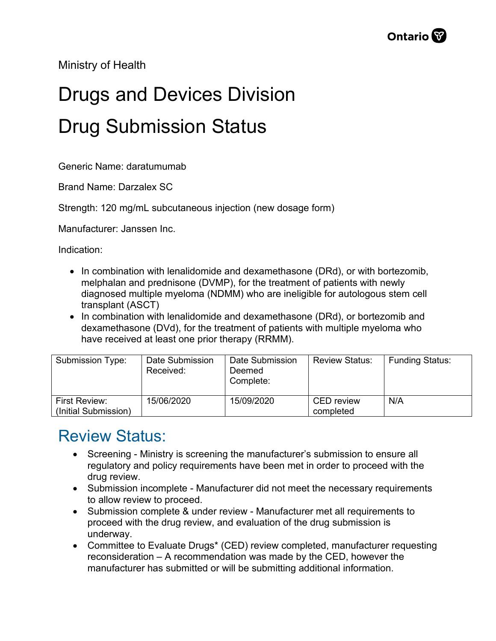Ministry of Health

## Drugs and Devices Division Drug Submission Status

Generic Name: daratumumab

Brand Name: Darzalex SC

Strength: 120 mg/mL subcutaneous injection (new dosage form)

Manufacturer: Janssen Inc.

Indication:

- In combination with lenalidomide and dexamethasone (DRd), or with bortezomib, melphalan and prednisone (DVMP), for the treatment of patients with newly diagnosed multiple myeloma (NDMM) who are ineligible for autologous stem cell transplant (ASCT)
- In combination with lenalidomide and dexamethasone (DRd), or bortezomib and dexamethasone (DVd), for the treatment of patients with multiple myeloma who have received at least one prior therapy (RRMM).

| Submission Type:     | Date Submission<br>Received: | Date Submission<br>Deemed<br>Complete: | <b>Review Status:</b> | <b>Funding Status:</b> |
|----------------------|------------------------------|----------------------------------------|-----------------------|------------------------|
| <b>First Review:</b> | 15/06/2020                   | 15/09/2020                             | <b>CED</b> review     | N/A                    |
| (Initial Submission) |                              |                                        | completed             |                        |

## Review Status:

- Screening Ministry is screening the manufacturer's submission to ensure all regulatory and policy requirements have been met in order to proceed with the drug review.
- Submission incomplete Manufacturer did not meet the necessary requirements to allow review to proceed.
- Submission complete & under review Manufacturer met all requirements to proceed with the drug review, and evaluation of the drug submission is underway.
- Committee to Evaluate Drugs\* (CED) review completed, manufacturer requesting reconsideration – A recommendation was made by the CED, however the manufacturer has submitted or will be submitting additional information.